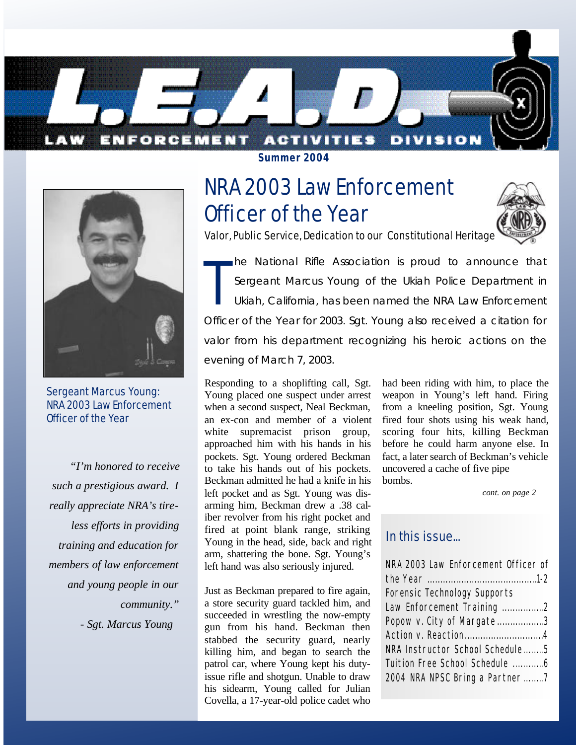



Sergeant Marcus Young: NRA 2003 Law Enforcement Officer of the Year

*"I'm honored to receive such a prestigious award. I really appreciate NRA's tireless efforts in providing training and education for members of law enforcement and young people in our community." - Sgt. Marcus Young*

**Summer 2004**

# NRA 2003 Law Enforcement Officer of the Year



Valor, Public Service, Dedication to our Constitutional Heritage

T he National Rifle Association is proud to announce that Sergeant Marcus Young of the Ukiah Police Department in Ukiah, California, has been named the NRA Law Enforcement Officer of the Year for 2003. Sgt. Young also received a citation for valor from his department recognizing his heroic actions on the evening of March 7, 2003.

Responding to a shoplifting call, Sgt. Young placed one suspect under arrest when a second suspect, Neal Beckman, an ex-con and member of a violent white supremacist prison group, approached him with his hands in his pockets. Sgt. Young ordered Beckman to take his hands out of his pockets. Beckman admitted he had a knife in his left pocket and as Sgt. Young was disarming him, Beckman drew a .38 caliber revolver from his right pocket and fired at point blank range, striking Young in the head, side, back and right arm, shattering the bone. Sgt. Young's left hand was also seriously injured.

Just as Beckman prepared to fire again, a store security guard tackled him, and succeeded in wrestling the now-empty gun from his hand. Beckman then stabbed the security guard, nearly killing him, and began to search the patrol car, where Young kept his dutyissue rifle and shotgun. Unable to draw his sidearm, Young called for Julian Covella, a 17-year-old police cadet who had been riding with him, to place the weapon in Young's left hand. Firing from a kneeling position, Sgt. Young fired four shots using his weak hand, scoring four hits, killing Beckman before he could harm anyone else. In fact, a later search of Beckman's vehicle uncovered a cache of five pipe bombs.

*cont. on page 2*

## In this issue...

| NRA 2003 Law Enforcement Officer of |  |
|-------------------------------------|--|
|                                     |  |
| Forensic Technology Supports        |  |
| Law Enforcement Training 2          |  |
| Popow v. City of Margate3           |  |
| Action v. Reaction4                 |  |
| NRA Instructor School Schedule5     |  |
| Tuition Free School Schedule 6      |  |
| 2004 NRA NPSC Bring a Partner7      |  |
|                                     |  |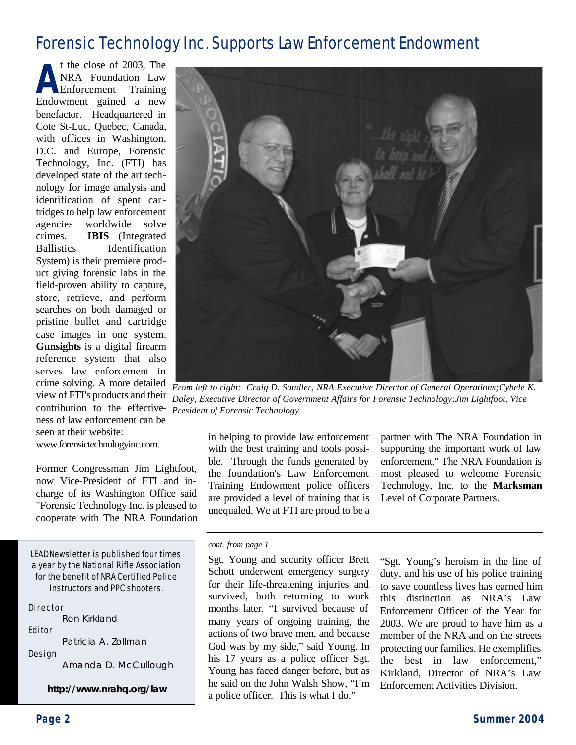## Forensic Technology Inc. Supports Law Enforcement Endowment

**A** t the close of 2003, The NRA Foundation Law Enforcement Training Endowment gained a new benefactor. Headquartered in Cote St-Luc, Quebec, Canada, with offices in Washington, D.C. and Europe, Forensic Technology, Inc. (FTI) has developed state of the art technology for image analysis and identification of spent cartridges to help law enforcement agencies worldwide solve crimes. **IBIS** (Integrated Ballistics Identification System) is their premiere product giving forensic labs in the field-proven ability to capture, store, retrieve, and perform searches on both damaged or pristine bullet and cartridge case images in one system. **Gunsights** is a digital firearm reference system that also serves law enforcement in crime solving. A more detailed view of FTI's products and their contribution to the effective-*President of Forensic Technology* ness of law enforcement can be seen at their website:

www.forensictechnologyinc.com.

Former Congressman Jim Lightfoot, now Vice-President of FTI and incharge of its Washington Office said "Forensic Technology Inc. is pleased to cooperate with The NRA Foundation

LEADNewsletter is published four times a year by the National Rifle Association for the benefit of NRA Certified Police Instructors and PPC shooters.

Director Ron Kirkland Editor Patricia A. Zollman Design

Amanda D. McCullough

**http://www.nrahq.org/law**



*From left to right: Craig D. Sandler, NRA Executive Director of General Operations;Cybele K. Daley, Executive Director of Government Affairs for Forensic Technology;Jim Lightfoot, Vice*

in helping to provide law enforcement with the best training and tools possible. Through the funds generated by the foundation's Law Enforcement Training Endowment police officers are provided a level of training that is unequaled. We at FTI are proud to be a

partner with The NRA Foundation in supporting the important work of law enforcement." The NRA Foundation is most pleased to welcome Forensic Technology, Inc. to the **Marksman** Level of Corporate Partners.

#### *cont. from page 1*

Sgt. Young and security officer Brett Schott underwent emergency surgery for their life-threatening injuries and survived, both returning to work months later. "I survived because of many years of ongoing training, the actions of two brave men, and because God was by my side," said Young. In his 17 years as a police officer Sgt. Young has faced danger before, but as he said on the John Walsh Show, "I'm a police officer. This is what I do."

"Sgt. Young's heroism in the line of duty, and his use of his police training to save countless lives has earned him this distinction as NRA's Law Enforcement Officer of the Year for 2003. We are proud to have him as a member of the NRA and on the streets protecting our families. He exemplifies the best in law enforcement," Kirkland, Director of NRA's Law Enforcement Activities Division.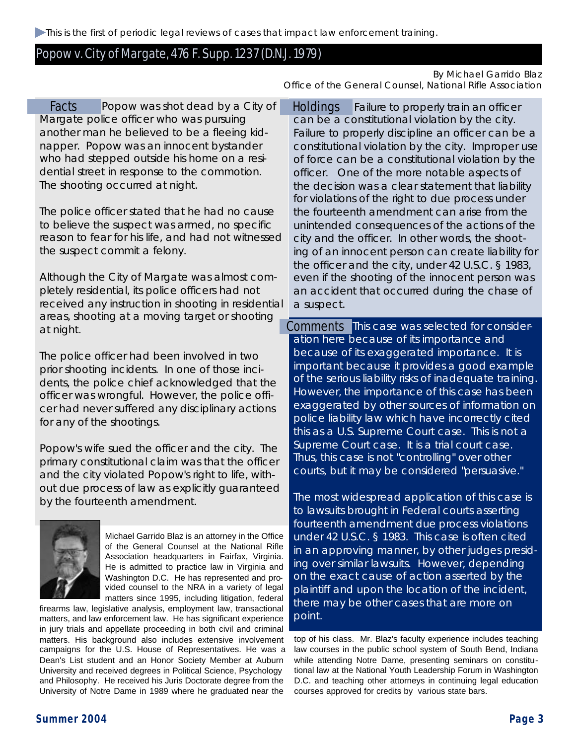This is the first of periodic legal reviews of cases that impact law enforcement training.

### Popow v. City of Margate, 476 F. Supp. 1237 (D.N.J. 1979)

#### By Michael Garrido Blaz

Facts Popow was shot dead by a City of Holdings Margate police officer who was pursuing another man he believed to be a fleeing kidnapper. Popow was an innocent bystander who had stepped outside his home on a residential street in response to the commotion. The shooting occurred at night.

The police officer stated that he had no cause to believe the suspect was armed, no specific reason to fear for his life, and had not witnessed the suspect commit a felony.

Although the City of Margate was almost completely residential, its police officers had not received any instruction in shooting in residential areas, shooting at a moving target or shooting at night.

The police officer had been involved in two prior shooting incidents. In one of those incidents, the police chief acknowledged that the officer was wrongful. However, the police officer had never suffered any disciplinary actions for any of the shootings.

Popow's wife sued the officer and the city. The primary constitutional claim was that the officer and the city violated Popow's right to life, without due process of law as explicitly guaranteed by the fourteenth amendment.



Michael Garrido Blaz is an attorney in the Office of the General Counsel at the National Rifle Association headquarters in Fairfax, Virginia. He is admitted to practice law in Virginia and Washington D.C. He has represented and provided counsel to the NRA in a variety of legal matters since 1995, including litigation, federal

firearms law, legislative analysis, employment law, transactional matters, and law enforcement law. He has significant experience in jury trials and appellate proceeding in both civil and criminal matters. His background also includes extensive involvement campaigns for the U.S. House of Representatives. He was a Dean's List student and an Honor Society Member at Auburn University and received degrees in Political Science, Psychology and Philosophy. He received his Juris Doctorate degree from the University of Notre Dame in 1989 where he graduated near the

Office of the General Counsel, National Rifle Association

Failure to properly train an officer can be a constitutional violation by the city. Failure to properly discipline an officer can be a constitutional violation by the city. Improper use of force can be a constitutional violation by the officer. One of the more notable aspects of the decision was a clear statement that liability for violations of the right to due process under the fourteenth amendment can arise from the unintended consequences of the actions of the city and the officer. In other words, the shooting of an innocent person can create liability for the officer and the city, under 42 U.S.C. § 1983, even if the shooting of the innocent person was an accident that occurred during the chase of a suspect.

Comments This case was selected for consideration here because of its importance and because of its exaggerated importance. It is important because it provides a good example of the serious liability risks of inadequate training. However, the importance of this case has been exaggerated by other sources of information on police liability law which have incorrectly cited this as a U.S. Supreme Court case. This is not a Supreme Court case. It is a trial court case. Thus, this case is not "controlling" over other courts, but it may be considered "persuasive."

The most widespread application of this case is to lawsuits brought in Federal courts asserting fourteenth amendment due process violations under 42 U.S.C. § 1983. This case is often cited in an approving manner, by other judges presiding over similar lawsuits. However, depending on the exact cause of action asserted by the plaintiff and upon the location of the incident, there may be other cases that are more on point.

top of his class. Mr. Blaz's faculty experience includes teaching law courses in the public school system of South Bend, Indiana while attending Notre Dame, presenting seminars on constitutional law at the National Youth Leadership Forum in Washington D.C. and teaching other attorneys in continuing legal education courses approved for credits by various state bars.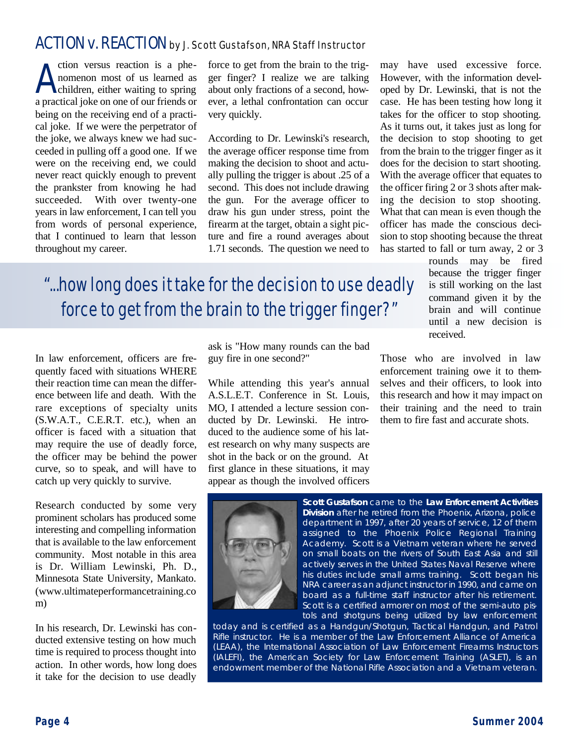## ACTION v. REACTION by J. Scott Gustafson, NRA Staff Instructor

A ction versus reaction is a phenomenon most of us learned as children, either waiting to spring a practical joke on one of our friends or being on the receiving end of a practical joke. If we were the perpetrator of the joke, we always knew we had succeeded in pulling off a good one. If we were on the receiving end, we could never react quickly enough to prevent the prankster from knowing he had succeeded. With over twenty-one years in law enforcement, I can tell you from words of personal experience, that I continued to learn that lesson throughout my career.

force to get from the brain to the trigger finger? I realize we are talking about only fractions of a second, however, a lethal confrontation can occur very quickly.

According to Dr. Lewinski's research, the average officer response time from making the decision to shoot and actually pulling the trigger is about .25 of a second. This does not include drawing the gun. For the average officer to draw his gun under stress, point the firearm at the target, obtain a sight picture and fire a round averages about 1.71 seconds. The question we need to

may have used excessive force. However, with the information developed by Dr. Lewinski, that is not the case. He has been testing how long it takes for the officer to stop shooting. As it turns out, it takes just as long for the decision to stop shooting to get from the brain to the trigger finger as it does for the decision to start shooting. With the average officer that equates to the officer firing 2 or 3 shots after making the decision to stop shooting. What that can mean is even though the officer has made the conscious decision to stop shooting because the threat has started to fall or turn away, 2 or 3

> rounds may be fired because the trigger finger is still working on the last command given it by the brain and will continue until a new decision is received.

"...how long does it take for the decision to use deadly force to get from the brain to the trigger finger?"

In law enforcement, officers are frequently faced with situations WHERE their reaction time can mean the difference between life and death. With the rare exceptions of specialty units (S.W.A.T., C.E.R.T. etc.), when an officer is faced with a situation that may require the use of deadly force, the officer may be behind the power curve, so to speak, and will have to catch up very quickly to survive.

Research conducted by some very prominent scholars has produced some interesting and compelling information that is available to the law enforcement community. Most notable in this area is Dr. William Lewinski, Ph. D., Minnesota State University, Mankato. (www.ultimateperformancetraining.co m)

In his research, Dr. Lewinski has conducted extensive testing on how much time is required to process thought into action. In other words, how long does it take for the decision to use deadly ask is "How many rounds can the bad guy fire in one second?"

While attending this year's annual A.S.L.E.T. Conference in St. Louis, MO, I attended a lecture session conducted by Dr. Lewinski. He introduced to the audience some of his latest research on why many suspects are shot in the back or on the ground. At first glance in these situations, it may appear as though the involved officers

Those who are involved in law enforcement training owe it to themselves and their officers, to look into this research and how it may impact on their training and the need to train them to fire fast and accurate shots.



**Scott Gustafson** came to the **Law Enforcement Activities Division** after he retired from the Phoenix, Arizona, police department in 1997, after 20 years of service, 12 of them assigned to the Phoenix Police Regional Training Academy. Scott is a Vietnam veteran where he served on small boats on the rivers of South East Asia and still actively serves in the United States Naval Reserve where his duties include small arms training. Scott began his NRA career as an adjunct instructor in 1990, and came on board as a full-time staff instructor after his retirement. Scott is a certified armorer on most of the semi-auto pistols and shotguns being utilized by law enforcement

today and is certified as a Handgun/Shotgun, Tactical Handgun, and Patrol Rifle instructor. He is a member of the Law Enforcement Alliance of America (LEAA), the International Association of Law Enforcement Firearms Instructors (IALEFI), the American Society for Law Enforcement Training (ASLET), is an endowment member of the National Rifle Association and a Vietnam veteran.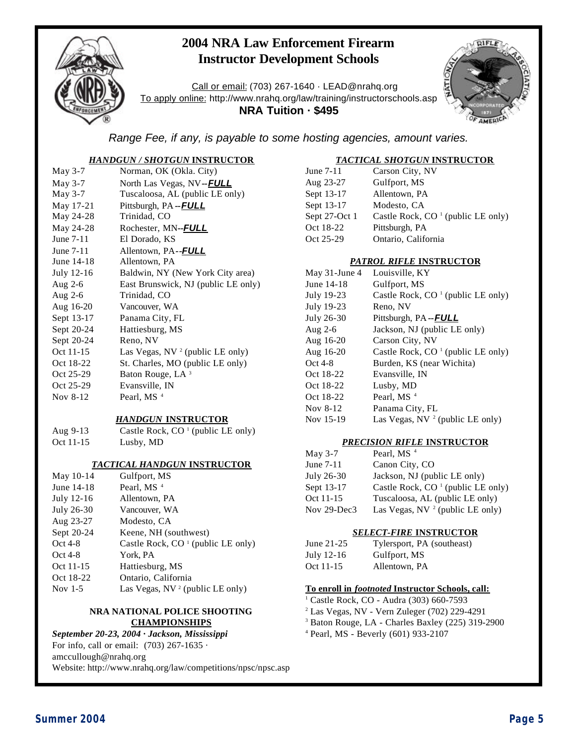

## **2004 NRA Law Enforcement Firearm Instructor Development Schools**

Call or email: (703) 267-1640 · LEAD@nrahq.org To apply online: http://www.nrahq.org/law/training/instructorschools.asp **NRA Tuition · \$495**



*Range Fee, if any, is payable to some hosting agencies, amount varies.*

#### *HANDGUN / SHOTGUN* **INSTRUCTOR**

| May 3-7    | Norman, OK (Okla. City)                     |
|------------|---------------------------------------------|
| May 3-7    | North Las Vegas, NV--FULL                   |
| May 3-7    | Tuscaloosa, AL (public LE only)             |
| May 17-21  | Pittsburgh, PA -- <b>FULL</b>               |
| May 24-28  | Trinidad, CO                                |
| May 24-28  | Rochester, MN--FULL                         |
| June 7-11  | El Dorado, KS                               |
| June 7-11  | Allentown, PA-- <b>FULL</b>                 |
| June 14-18 | Allentown, PA                               |
| July 12-16 | Baldwin, NY (New York City area)            |
| Aug $2-6$  | East Brunswick, NJ (public LE only)         |
| Aug $2-6$  | Trinidad, CO                                |
| Aug 16-20  | Vancouver, WA                               |
| Sept 13-17 | Panama City, FL                             |
| Sept 20-24 | Hattiesburg, MS                             |
| Sept 20-24 | Reno, NV                                    |
| Oct 11-15  | Las Vegas, NV <sup>2</sup> (public LE only) |
| Oct 18-22  | St. Charles, MO (public LE only)            |
| Oct 25-29  | Baton Rouge, LA <sup>3</sup>                |
| Oct 25-29  | Evansville, IN                              |
| Nov 8-12   | Pearl, MS <sup>4</sup>                      |
|            |                                             |

#### *HANDGUN* **INSTRUCTOR**

Aug 9-13 Castle Rock,  $CO<sup>1</sup>$  (public LE only) Oct 11-15 Lusby, MD

#### *TACTICAL HANDGUN* **INSTRUCTOR**

| May 10-14  | Gulfport, MS                                  |
|------------|-----------------------------------------------|
| June 14-18 | Pearl, MS <sup>4</sup>                        |
| July 12-16 | Allentown, PA                                 |
| July 26-30 | Vancouver, WA                                 |
| Aug 23-27  | Modesto, CA                                   |
| Sept 20-24 | Keene, NH (southwest)                         |
| Oct 4-8    | Castle Rock, CO <sup>1</sup> (public LE only) |
| Oct 4-8    | York, PA                                      |
| Oct 11-15  | Hattiesburg, MS                               |
| Oct 18-22  | Ontario, California                           |
| Nov $1-5$  | Las Vegas, $NV^2$ (public LE only)            |

#### **NRA NATIONAL POLICE SHOOTING CHAMPIONSHIPS**

#### *September 20-23, 2004 · Jackson, Mississippi*

For info, call or email: (703) 267-1635 ·

amccullough@nrahq.org Website: http://www.nrahq.org/law/competitions/npsc/npsc.asp

#### *TACTICAL SHOTGUN* **INSTRUCTOR**

| June 7-11     | Carson City, NV                     |
|---------------|-------------------------------------|
| Aug 23-27     | Gulfport, MS                        |
| Sept 13-17    | Allentown, PA                       |
| Sept 13-17    | Modesto, CA                         |
| Sept 27-Oct 1 | Castle Rock, $CO1$ (public LE only) |
| Oct 18-22     | Pittsburgh, PA                      |
| Oct 25-29     | Ontario, California                 |

#### *PATROL RIFLE* **INSTRUCTOR**

| May 31-June 4 | Louisville, KY                      |
|---------------|-------------------------------------|
| June 14-18    | Gulfport, MS                        |
| July 19-23    | Castle Rock, $CO1$ (public LE only) |
| July 19-23    | Reno, NV                            |
| July 26-30    | Pittsburgh, PA -- <b>FULL</b>       |
| Aug $2-6$     | Jackson, NJ (public LE only)        |
| Aug 16-20     | Carson City, NV                     |
| Aug 16-20     | Castle Rock, $CO1$ (public LE only) |
| $Oct4-8$      | Burden, KS (near Wichita)           |
| Oct 18-22     | Evansville, IN                      |
| Oct 18-22     | Lusby, MD                           |
| Oct 18-22     | Pearl, MS <sup>4</sup>              |
| Nov 8-12      | Panama City, FL                     |
| Nov 15-19     | Las Vegas, NV $^2$ (public LE only) |

#### *PRECISION RIFLE* **INSTRUCTOR**

| May $3-7$   | Pearl, MS <sup>4</sup>              |
|-------------|-------------------------------------|
| June 7-11   | Canon City, CO                      |
| July 26-30  | Jackson, NJ (public LE only)        |
| Sept 13-17  | Castle Rock, $CO1$ (public LE only) |
| Oct 11-15   | Tuscaloosa, AL (public LE only)     |
| Nov 29-Dec3 | Las Vegas, NV $^2$ (public LE only) |

#### *SELECT-FIRE* **INSTRUCTOR**

| June $21-25$ | Tylersport, PA (southeast) |
|--------------|----------------------------|
| July 12-16   | Gulfport, MS               |
| Oct 11-15    | Allentown, PA              |

#### **To enroll in** *footnoted* **Instructor Schools, call:**

- <sup>1</sup> Castle Rock, CO Audra (303) 660-7593
- <sup>2</sup> Las Vegas, NV Vern Zuleger (702) 229-4291
- <sup>3</sup> Baton Rouge, LA Charles Baxley (225) 319-2900
- <sup>4</sup> Pearl, MS Beverly (601) 933-2107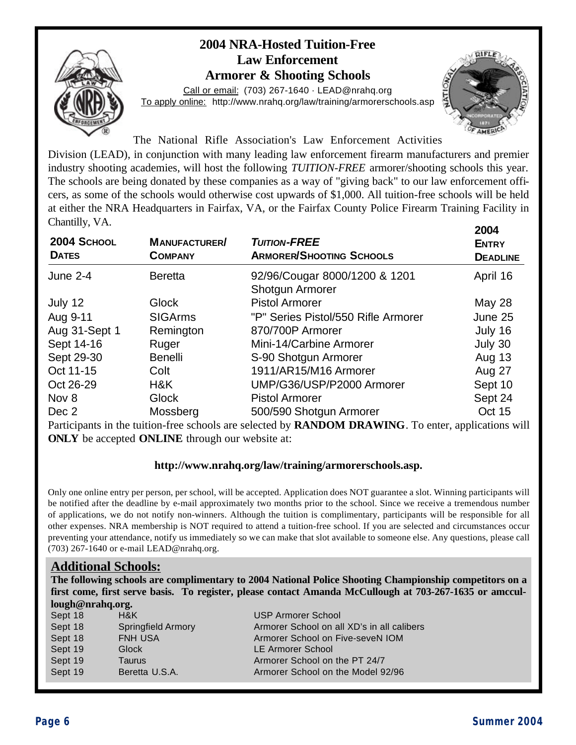## **2004 NRA-Hosted Tuition-Free Law Enforcement Armorer & Shooting Schools**



Call or email: (703) 267-1640 · LEAD@nrahq.org To apply online: http://www.nrahq.org/law/training/armorerschools.asp



The National Rifle Association's Law Enforcement Activities

Division (LEAD), in conjunction with many leading law enforcement firearm manufacturers and premier industry shooting academies, will host the following *TUITION-FREE* armorer/shooting schools this year. The schools are being donated by these companies as a way of "giving back" to our law enforcement officers, as some of the schools would otherwise cost upwards of \$1,000. All tuition-free schools will be held at either the NRA Headquarters in Fairfax, VA, or the Fairfax County Police Firearm Training Facility in Chantilly, VA.

|                             |                                        |                                                        | 2004                            |
|-----------------------------|----------------------------------------|--------------------------------------------------------|---------------------------------|
| 2004 SCHOOL<br><b>DATES</b> | <b>MANUFACTURER/</b><br><b>COMPANY</b> | <b>TUITION-FREE</b><br><b>ARMORER/SHOOTING SCHOOLS</b> | <b>ENTRY</b><br><b>DEADLINE</b> |
| <b>June 2-4</b>             | <b>Beretta</b>                         | 92/96/Cougar 8000/1200 & 1201<br>Shotgun Armorer       | April 16                        |
| July 12                     | Glock                                  | <b>Pistol Armorer</b>                                  | May 28                          |
| Aug 9-11                    | <b>SIGArms</b>                         | "P" Series Pistol/550 Rifle Armorer                    | June 25                         |
| Aug 31-Sept 1               | Remington                              | 870/700P Armorer                                       | July 16                         |
| Sept 14-16                  | Ruger                                  | Mini-14/Carbine Armorer                                | July 30                         |
| Sept 29-30                  | <b>Benelli</b>                         | S-90 Shotgun Armorer                                   | Aug 13                          |
| Oct 11-15                   | Colt                                   | 1911/AR15/M16 Armorer                                  | Aug 27                          |
| Oct 26-29                   | H&K                                    | UMP/G36/USP/P2000 Armorer                              | Sept 10                         |
| Nov 8                       | Glock                                  | <b>Pistol Armorer</b>                                  | Sept 24                         |
| Dec 2                       | Mossberg                               | 500/590 Shotgun Armorer                                | <b>Oct 15</b>                   |

Participants in the tuition-free schools are selected by **RANDOM DRAWING**. To enter, applications will **ONLY** be accepted **ONLINE** through our website at:

### **http://www.nrahq.org/law/training/armorerschools.asp.**

Only one online entry per person, per school, will be accepted. Application does NOT guarantee a slot. Winning participants will be notified after the deadline by e-mail approximately two months prior to the school. Since we receive a tremendous number of applications, we do not notify non-winners. Although the tuition is complimentary, participants will be responsible for all other expenses. NRA membership is NOT required to attend a tuition-free school. If you are selected and circumstances occur preventing your attendance, notify us immediately so we can make that slot available to someone else. Any questions, please call (703) 267-1640 or e-mail LEAD@nrahq.org.

## **Additional Schools:**

**The following schools are complimentary to 2004 National Police Shooting Championship competitors on a first come, first serve basis. To register, please contact Amanda McCullough at 703-267-1635 or amccullough@nrahq.org.**

| Sept 18 | H&K                       | <b>USP Armorer School</b>                  |
|---------|---------------------------|--------------------------------------------|
| Sept 18 | <b>Springfield Armory</b> | Armorer School on all XD's in all calibers |
| Sept 18 | <b>FNH USA</b>            | Armorer School on Five-seveN IOM           |
| Sept 19 | <b>Glock</b>              | LE Armorer School                          |
| Sept 19 | Taurus                    | Armorer School on the PT 24/7              |
| Sept 19 | Beretta U.S.A.            | Armorer School on the Model 92/96          |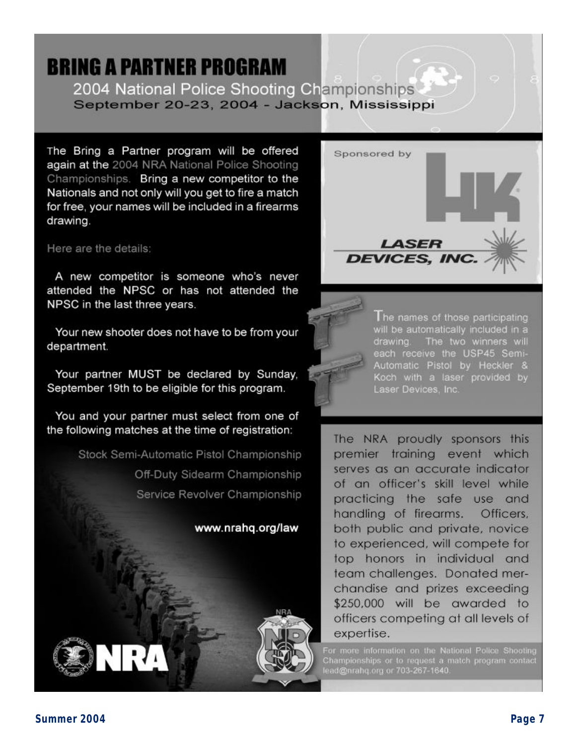## **BRING A PARTNER PROGRAM** 2004 National Police Shooting Championships September 20-23, 2004 - Jackson, Mississippi

The Bring a Partner program will be offered again at the 2004 NRA National Police Shooting Championships. Bring a new competitor to the Nationals and not only will you get to fire a match for free, your names will be included in a firearms drawing.

Here are the details:

A new competitor is someone who's never attended the NPSC or has not attended the NPSC in the last three years.

Your new shooter does not have to be from your department.

Your partner MUST be declared by Sunday. September 19th to be eligible for this program.

You and your partner must select from one of the following matches at the time of registration:

> Stock Semi-Automatic Pistol Championship Off-Duty Sidearm Championship Service Revolver Championship





I he names of those participating will be automatically included in a drawing. The two winners will each receive the USP45 Semi-Automatic Pistol by Heckler & Koch with a laser provided by Laser Devices, Inc.

The NRA proudly sponsors this premier training event which serves as an accurate indicator of an officer's skill level while practicing the safe use and handling of firearms. Officers. both public and private, novice to experienced, will compete for top honors in individual and team challenges. Donated merchandise and prizes exceeding \$250,000 will be awarded to officers competing at all levels of expertise.

For more information on the National Police Shooting<br>Championships or to request a match program contact<br>lead@nrahq.org or 703-267-1640.